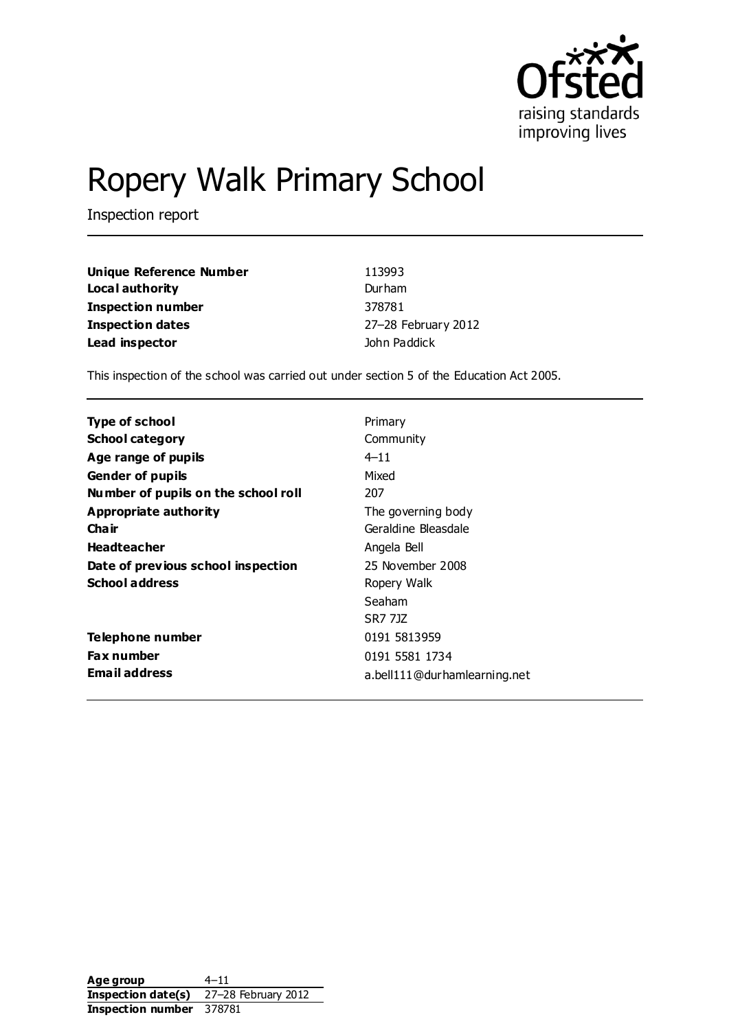

# Ropery Walk Primary School

Inspection report

| Unique Reference Number | 113993              |
|-------------------------|---------------------|
| Local authority         | Durham              |
| Inspection number       | 378781              |
| <b>Inspection dates</b> | 27-28 February 2012 |
| Lead inspector          | John Paddick        |

This inspection of the school was carried out under section 5 of the Education Act 2005.

| <b>Type of school</b>               | Primary                      |
|-------------------------------------|------------------------------|
| <b>School category</b>              | Community                    |
|                                     |                              |
| Age range of pupils                 | $4 - 11$                     |
| <b>Gender of pupils</b>             | Mixed                        |
| Number of pupils on the school roll | 207                          |
| Appropriate authority               | The governing body           |
| Cha ir                              | Geraldine Bleasdale          |
| <b>Headteacher</b>                  | Angela Bell                  |
| Date of previous school inspection  | 25 November 2008             |
| <b>School address</b>               | Ropery Walk                  |
|                                     | Seaham                       |
|                                     | SR7 717                      |
| Telephone number                    | 0191 5813959                 |
| <b>Fax number</b>                   | 0191 5581 1734               |
| <b>Email address</b>                | a.bell111@durhamlearning.net |

Age group 4–11 **Inspection date(s)** 27–28 February 2012 **Inspection number** 378781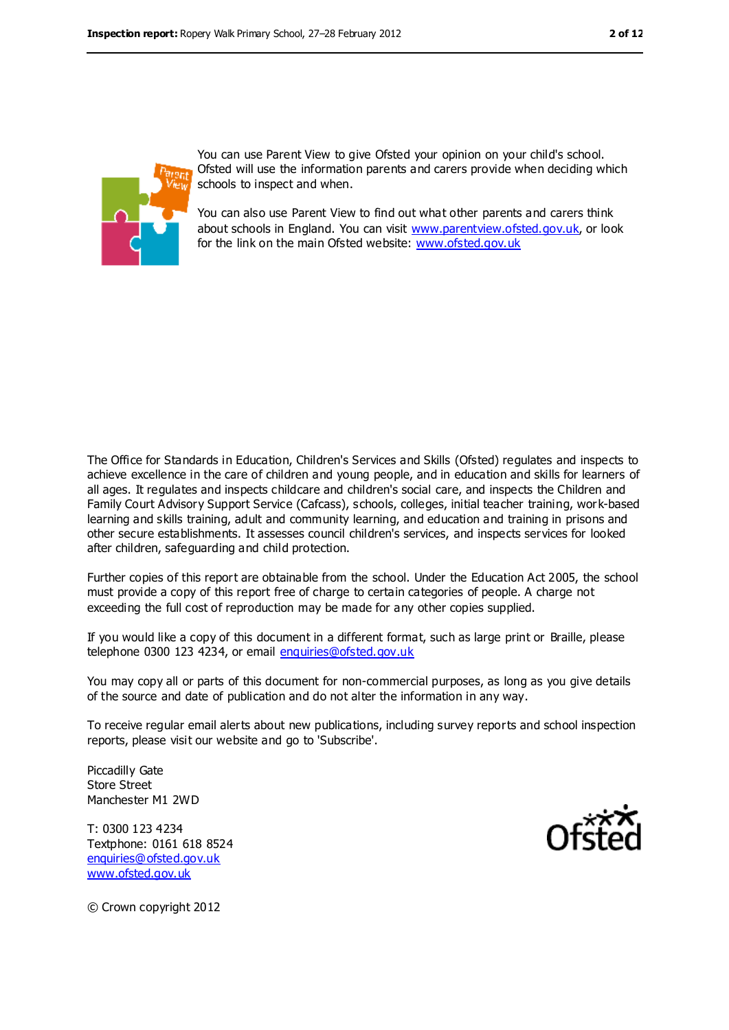

You can use Parent View to give Ofsted your opinion on your child's school. Ofsted will use the information parents and carers provide when deciding which schools to inspect and when.

You can also use Parent View to find out what other parents and carers think about schools in England. You can visit [www.parentview.ofsted.gov.uk,](../../../../../John/AppData/Local/Microsoft/Windows/Temporary%20Internet%20Files/Low/AppData/Local/Microsoft/Windows/Temporary%20Internet%20Files/Content.IE5/AppData/Local/Microsoft/Windows/Temporary%20Internet%20Files/Low/Content.IE5/R0HZNXH0/www.parentview.ofsted.gov.uk) or look for the link on the main Ofsted website: [www.ofsted.gov.uk](../../../../../John/AppData/Local/Microsoft/Windows/Temporary%20Internet%20Files/Low/AppData/Local/Microsoft/Windows/Temporary%20Internet%20Files/Content.IE5/AppData/Local/Microsoft/Windows/Temporary%20Internet%20Files/Low/Content.IE5/R0HZNXH0/www.ofsted.gov.uk)

The Office for Standards in Education, Children's Services and Skills (Ofsted) regulates and inspects to achieve excellence in the care of children and young people, and in education and skills for learners of all ages. It regulates and inspects childcare and children's social care, and inspects the Children and Family Court Advisory Support Service (Cafcass), schools, colleges, initial teacher training, work-based learning and skills training, adult and community learning, and education and training in prisons and other secure establishments. It assesses council children's services, and inspects services for looked after children, safeguarding and child protection.

Further copies of this report are obtainable from the school. Under the Education Act 2005, the school must provide a copy of this report free of charge to certain categories of people. A charge not exceeding the full cost of reproduction may be made for any other copies supplied.

If you would like a copy of this document in a different format, such as large print or Braille, please telephone 0300 123 4234, or email [enquiries@ofsted.gov.uk](mailto:enquiries@ofsted.gov.uk)

You may copy all or parts of this document for non-commercial purposes, as long as you give details of the source and date of publication and do not alter the information in any way.

To receive regular email alerts about new publications, including survey reports and school inspection reports, please visit our website and go to 'Subscribe'.

Piccadilly Gate Store Street Manchester M1 2WD

T: 0300 123 4234 Textphone: 0161 618 8524 [enquiries@ofsted.gov.uk](mailto:enquiries@ofsted.gov.uk) [www.ofsted.gov.uk](http://www.ofsted.gov.uk/)



© Crown copyright 2012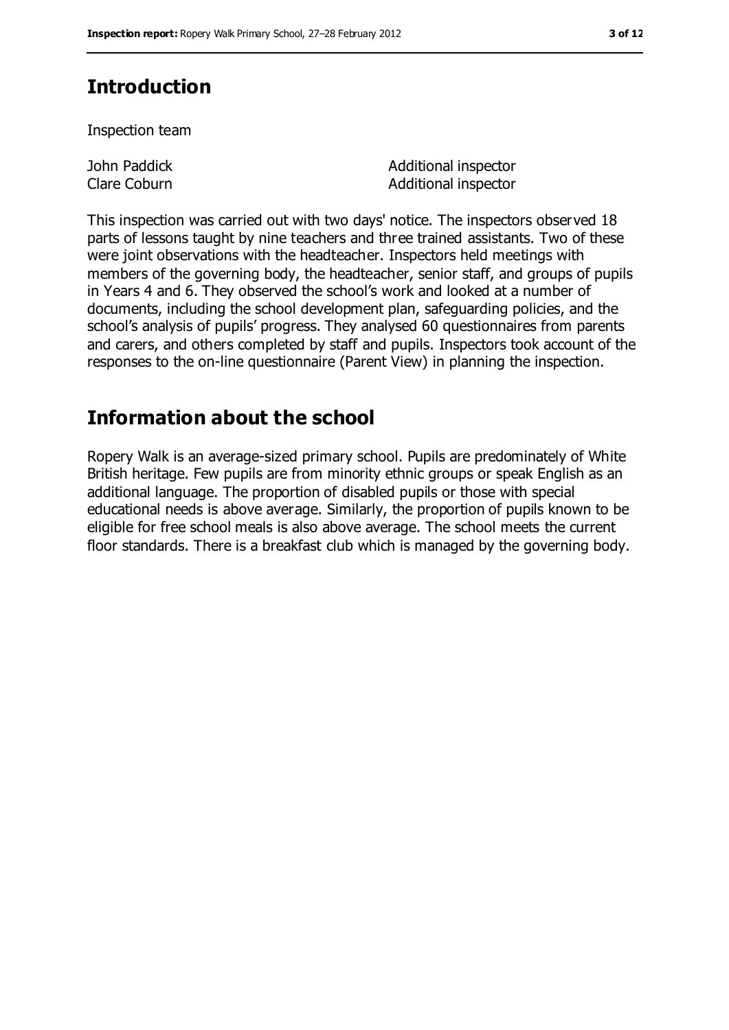# **Introduction**

Inspection team

John Paddick Clare Coburn Additional inspector Additional inspector

This inspection was carried out with two days' notice. The inspectors observed 18 parts of lessons taught by nine teachers and three trained assistants. Two of these were joint observations with the headteacher. Inspectors held meetings with members of the governing body, the headteacher, senior staff, and groups of pupils in Years 4 and 6. They observed the school's work and looked at a number of documents, including the school development plan, safeguarding policies, and the school's analysis of pupils' progress. They analysed 60 questionnaires from parents and carers, and others completed by staff and pupils. Inspectors took account of the responses to the on-line questionnaire (Parent View) in planning the inspection.

# **Information about the school**

Ropery Walk is an average-sized primary school. Pupils are predominately of White British heritage. Few pupils are from minority ethnic groups or speak English as an additional language. The proportion of disabled pupils or those with special educational needs is above average. Similarly, the proportion of pupils known to be eligible for free school meals is also above average. The school meets the current floor standards. There is a breakfast club which is managed by the governing body.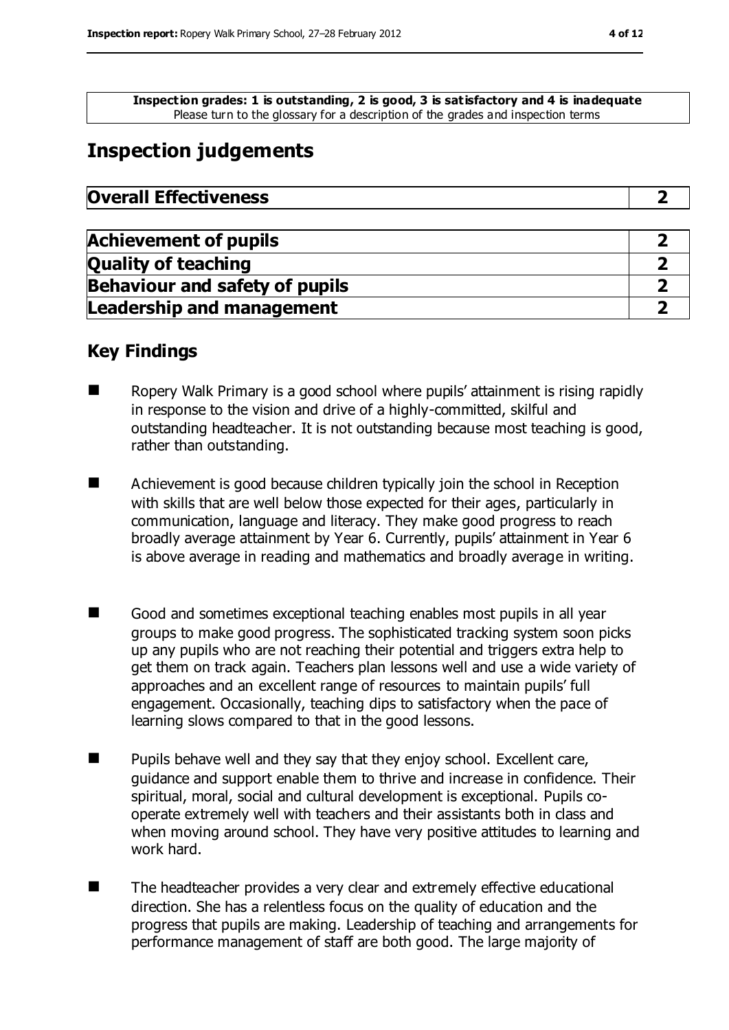**Inspection grades: 1 is outstanding, 2 is good, 3 is satisfactory and 4 is inadequate** Please turn to the glossary for a description of the grades and inspection terms

# **Inspection judgements**

| <b>Overall Effectiveness</b> |
|------------------------------|
|------------------------------|

| <b>Achievement of pupils</b>          |  |
|---------------------------------------|--|
| <b>Quality of teaching</b>            |  |
| <b>Behaviour and safety of pupils</b> |  |
| <b>Leadership and management</b>      |  |

#### **Key Findings**

- $\blacksquare$  Ropery Walk Primary is a good school where pupils' attainment is rising rapidly in response to the vision and drive of a highly-committed, skilful and outstanding headteacher. It is not outstanding because most teaching is good, rather than outstanding.
- Achievement is good because children typically join the school in Reception with skills that are well below those expected for their ages, particularly in communication, language and literacy. They make good progress to reach broadly average attainment by Year 6. Currently, pupils' attainment in Year 6 is above average in reading and mathematics and broadly average in writing.
- Good and sometimes exceptional teaching enables most pupils in all year groups to make good progress. The sophisticated tracking system soon picks up any pupils who are not reaching their potential and triggers extra help to get them on track again. Teachers plan lessons well and use a wide variety of approaches and an excellent range of resources to maintain pupils' full engagement. Occasionally, teaching dips to satisfactory when the pace of learning slows compared to that in the good lessons.
- Pupils behave well and they say that they enjoy school. Excellent care, guidance and support enable them to thrive and increase in confidence. Their spiritual, moral, social and cultural development is exceptional. Pupils cooperate extremely well with teachers and their assistants both in class and when moving around school. They have very positive attitudes to learning and work hard.
- The headteacher provides a very clear and extremely effective educational direction. She has a relentless focus on the quality of education and the progress that pupils are making. Leadership of teaching and arrangements for performance management of staff are both good. The large majority of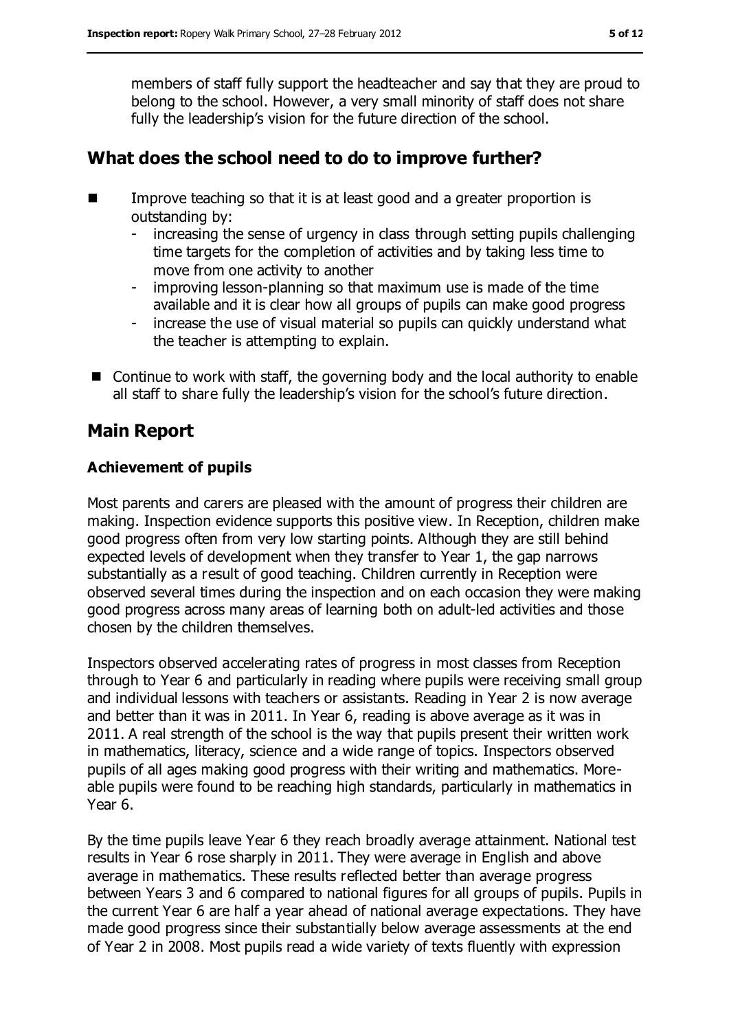members of staff fully support the headteacher and say that they are proud to belong to the school. However, a very small minority of staff does not share fully the leadership's vision for the future direction of the school.

#### **What does the school need to do to improve further?**

- Improve teaching so that it is at least good and a greater proportion is outstanding by:
	- increasing the sense of urgency in class through setting pupils challenging time targets for the completion of activities and by taking less time to move from one activity to another
	- improving lesson-planning so that maximum use is made of the time available and it is clear how all groups of pupils can make good progress
	- increase the use of visual material so pupils can quickly understand what the teacher is attempting to explain.
- Continue to work with staff, the governing body and the local authority to enable all staff to share fully the leadership's vision for the school's future direction.

### **Main Report**

#### **Achievement of pupils**

Most parents and carers are pleased with the amount of progress their children are making. Inspection evidence supports this positive view. In Reception, children make good progress often from very low starting points. Although they are still behind expected levels of development when they transfer to Year 1, the gap narrows substantially as a result of good teaching. Children currently in Reception were observed several times during the inspection and on each occasion they were making good progress across many areas of learning both on adult-led activities and those chosen by the children themselves.

Inspectors observed accelerating rates of progress in most classes from Reception through to Year 6 and particularly in reading where pupils were receiving small group and individual lessons with teachers or assistants. Reading in Year 2 is now average and better than it was in 2011. In Year 6, reading is above average as it was in 2011. A real strength of the school is the way that pupils present their written work in mathematics, literacy, science and a wide range of topics. Inspectors observed pupils of all ages making good progress with their writing and mathematics. Moreable pupils were found to be reaching high standards, particularly in mathematics in Year 6.

By the time pupils leave Year 6 they reach broadly average attainment. National test results in Year 6 rose sharply in 2011. They were average in English and above average in mathematics. These results reflected better than average progress between Years 3 and 6 compared to national figures for all groups of pupils. Pupils in the current Year 6 are half a year ahead of national average expectations. They have made good progress since their substantially below average assessments at the end of Year 2 in 2008. Most pupils read a wide variety of texts fluently with expression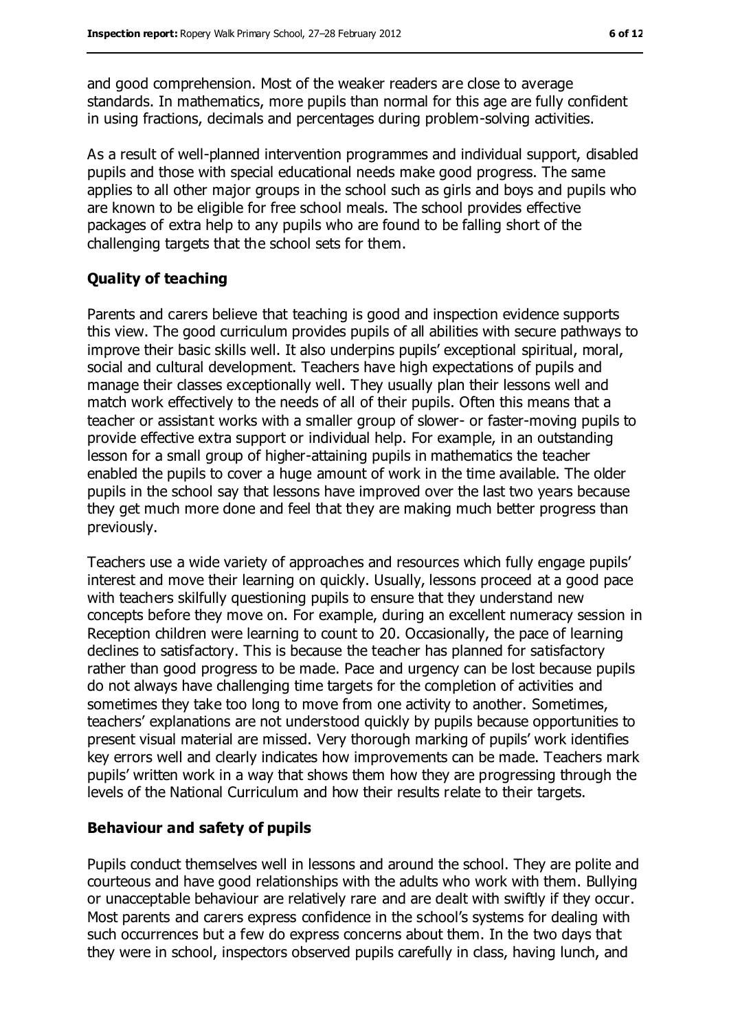and good comprehension. Most of the weaker readers are close to average standards. In mathematics, more pupils than normal for this age are fully confident in using fractions, decimals and percentages during problem-solving activities.

As a result of well-planned intervention programmes and individual support, disabled pupils and those with special educational needs make good progress. The same applies to all other major groups in the school such as girls and boys and pupils who are known to be eligible for free school meals. The school provides effective packages of extra help to any pupils who are found to be falling short of the challenging targets that the school sets for them.

#### **Quality of teaching**

Parents and carers believe that teaching is good and inspection evidence supports this view. The good curriculum provides pupils of all abilities with secure pathways to improve their basic skills well. It also underpins pupils' exceptional spiritual, moral, social and cultural development. Teachers have high expectations of pupils and manage their classes exceptionally well. They usually plan their lessons well and match work effectively to the needs of all of their pupils. Often this means that a teacher or assistant works with a smaller group of slower- or faster-moving pupils to provide effective extra support or individual help. For example, in an outstanding lesson for a small group of higher-attaining pupils in mathematics the teacher enabled the pupils to cover a huge amount of work in the time available. The older pupils in the school say that lessons have improved over the last two years because they get much more done and feel that they are making much better progress than previously.

Teachers use a wide variety of approaches and resources which fully engage pupils' interest and move their learning on quickly. Usually, lessons proceed at a good pace with teachers skilfully questioning pupils to ensure that they understand new concepts before they move on. For example, during an excellent numeracy session in Reception children were learning to count to 20. Occasionally, the pace of learning declines to satisfactory. This is because the teacher has planned for satisfactory rather than good progress to be made. Pace and urgency can be lost because pupils do not always have challenging time targets for the completion of activities and sometimes they take too long to move from one activity to another. Sometimes, teachers' explanations are not understood quickly by pupils because opportunities to present visual material are missed. Very thorough marking of pupils' work identifies key errors well and clearly indicates how improvements can be made. Teachers mark pupils' written work in a way that shows them how they are progressing through the levels of the National Curriculum and how their results relate to their targets.

#### **Behaviour and safety of pupils**

Pupils conduct themselves well in lessons and around the school. They are polite and courteous and have good relationships with the adults who work with them. Bullying or unacceptable behaviour are relatively rare and are dealt with swiftly if they occur. Most parents and carers express confidence in the school's systems for dealing with such occurrences but a few do express concerns about them. In the two days that they were in school, inspectors observed pupils carefully in class, having lunch, and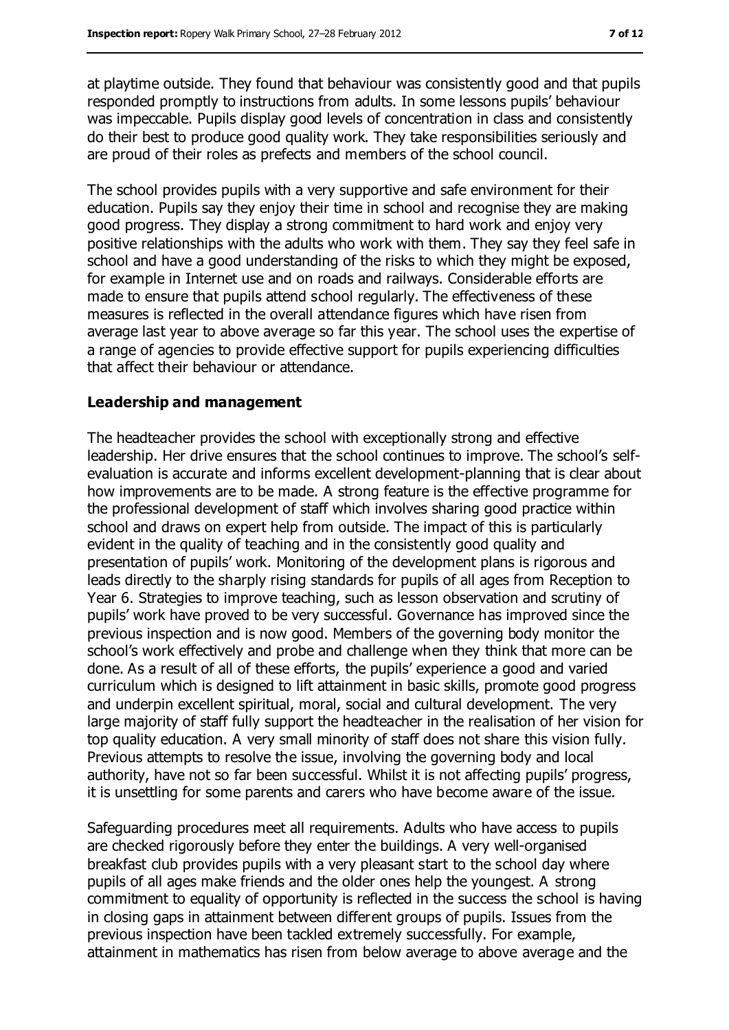at playtime outside. They found that behaviour was consistently good and that pupils responded promptly to instructions from adults. In some lessons pupils' behaviour was impeccable. Pupils display good levels of concentration in class and consistently do their best to produce good quality work. They take responsibilities seriously and are proud of their roles as prefects and members of the school council.

The school provides pupils with a very supportive and safe environment for their education. Pupils say they enjoy their time in school and recognise they are making good progress. They display a strong commitment to hard work and enjoy very positive relationships with the adults who work with them. They say they feel safe in school and have a good understanding of the risks to which they might be exposed, for example in Internet use and on roads and railways. Considerable efforts are made to ensure that pupils attend school regularly. The effectiveness of these measures is reflected in the overall attendance figures which have risen from average last year to above average so far this year. The school uses the expertise of a range of agencies to provide effective support for pupils experiencing difficulties that affect their behaviour or attendance.

#### **Leadership and management**

The headteacher provides the school with exceptionally strong and effective leadership. Her drive ensures that the school continues to improve. The school's selfevaluation is accurate and informs excellent development-planning that is clear about how improvements are to be made. A strong feature is the effective programme for the professional development of staff which involves sharing good practice within school and draws on expert help from outside. The impact of this is particularly evident in the quality of teaching and in the consistently good quality and presentation of pupils' work. Monitoring of the development plans is rigorous and leads directly to the sharply rising standards for pupils of all ages from Reception to Year 6. Strategies to improve teaching, such as lesson observation and scrutiny of pupils' work have proved to be very successful. Governance has improved since the previous inspection and is now good. Members of the governing body monitor the school's work effectively and probe and challenge when they think that more can be done. As a result of all of these efforts, the pupils' experience a good and varied curriculum which is designed to lift attainment in basic skills, promote good progress and underpin excellent spiritual, moral, social and cultural development. The very large majority of staff fully support the headteacher in the realisation of her vision for top quality education. A very small minority of staff does not share this vision fully. Previous attempts to resolve the issue, involving the governing body and local authority, have not so far been successful. Whilst it is not affecting pupils' progress, it is unsettling for some parents and carers who have become aware of the issue.

Safeguarding procedures meet all requirements. Adults who have access to pupils are checked rigorously before they enter the buildings. A very well-organised breakfast club provides pupils with a very pleasant start to the school day where pupils of all ages make friends and the older ones help the youngest. A strong commitment to equality of opportunity is reflected in the success the school is having in closing gaps in attainment between different groups of pupils. Issues from the previous inspection have been tackled extremely successfully. For example, attainment in mathematics has risen from below average to above average and the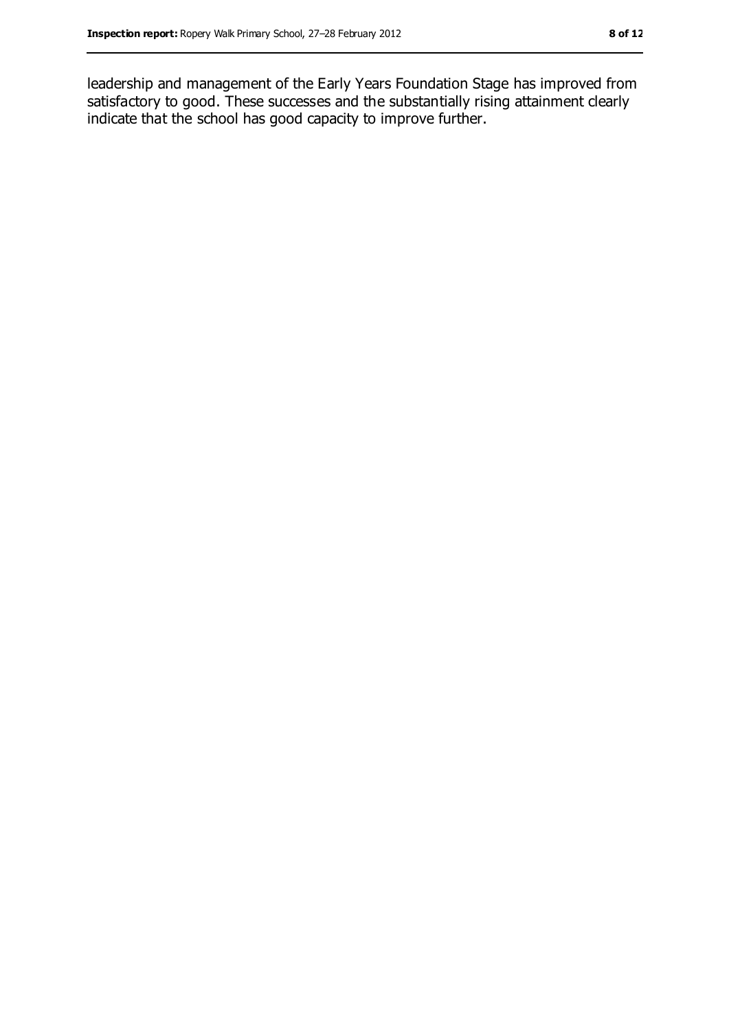leadership and management of the Early Years Foundation Stage has improved from satisfactory to good. These successes and the substantially rising attainment clearly indicate that the school has good capacity to improve further.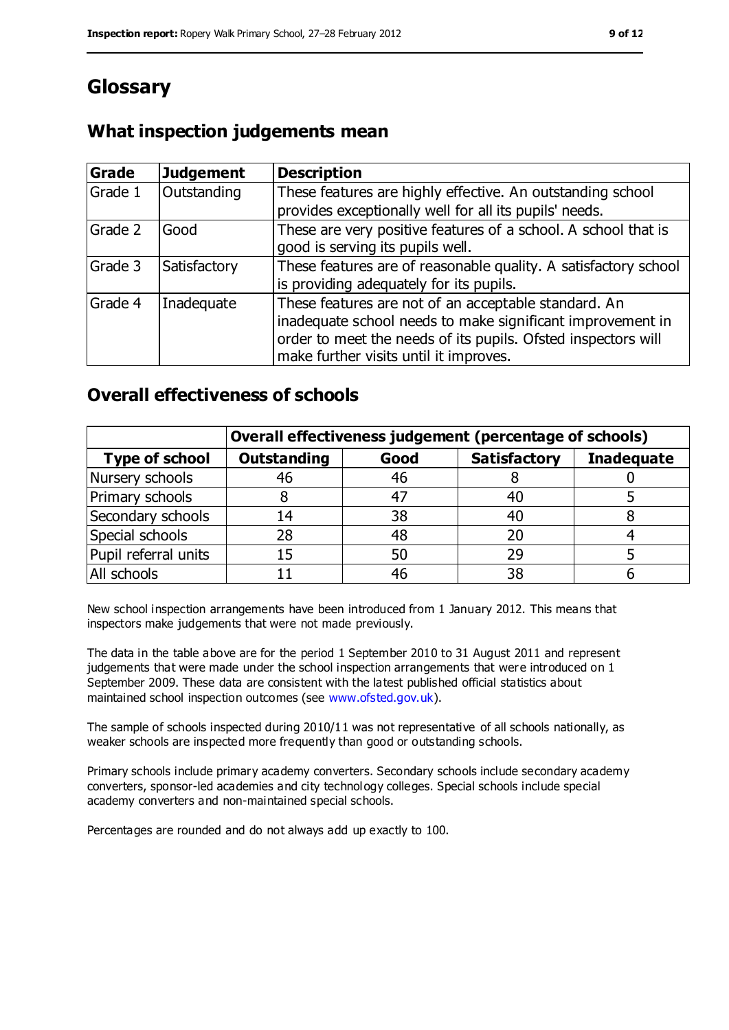# **Glossary**

#### **What inspection judgements mean**

| Grade   | <b>Judgement</b> | <b>Description</b>                                                                                                                                                                                                            |
|---------|------------------|-------------------------------------------------------------------------------------------------------------------------------------------------------------------------------------------------------------------------------|
| Grade 1 | Outstanding      | These features are highly effective. An outstanding school<br>provides exceptionally well for all its pupils' needs.                                                                                                          |
| Grade 2 | Good             | These are very positive features of a school. A school that is<br>good is serving its pupils well.                                                                                                                            |
| Grade 3 | Satisfactory     | These features are of reasonable quality. A satisfactory school<br>is providing adequately for its pupils.                                                                                                                    |
| Grade 4 | Inadequate       | These features are not of an acceptable standard. An<br>inadequate school needs to make significant improvement in<br>order to meet the needs of its pupils. Ofsted inspectors will<br>make further visits until it improves. |

#### **Overall effectiveness of schools**

|                       | Overall effectiveness judgement (percentage of schools) |      |                     |                   |
|-----------------------|---------------------------------------------------------|------|---------------------|-------------------|
| <b>Type of school</b> | <b>Outstanding</b>                                      | Good | <b>Satisfactory</b> | <b>Inadequate</b> |
| Nursery schools       | 46                                                      | 46   |                     |                   |
| Primary schools       |                                                         | 47   | 40                  |                   |
| Secondary schools     | 14                                                      | 38   | 40                  |                   |
| Special schools       | 28                                                      | 48   | 20                  |                   |
| Pupil referral units  | 15                                                      | 50   | 29                  |                   |
| All schools           |                                                         | 46   | 38                  |                   |

New school inspection arrangements have been introduced from 1 January 2012. This means that inspectors make judgements that were not made previously.

The data in the table above are for the period 1 September 2010 to 31 August 2011 and represent judgements that were made under the school inspection arrangements that were introduced on 1 September 2009. These data are consistent with the latest published official statistics about maintained school inspection outcomes (see [www.ofsted.gov.uk\)](../../../../../John/AppData/Local/Microsoft/Windows/Temporary%20Internet%20Files/Low/AppData/Local/Microsoft/Windows/Temporary%20Internet%20Files/Content.IE5/AppData/Local/Microsoft/Windows/Temporary%20Internet%20Files/Low/Content.IE5/R0HZNXH0/www.ofsted.gov.uk).

The sample of schools inspected during 2010/11 was not representative of all schools nationally, as weaker schools are inspected more frequently than good or outstanding schools.

Primary schools include primary academy converters. Secondary schools include secondary academy converters, sponsor-led academies and city technology colleges. Special schools include special academy converters and non-maintained special schools.

Percentages are rounded and do not always add up exactly to 100.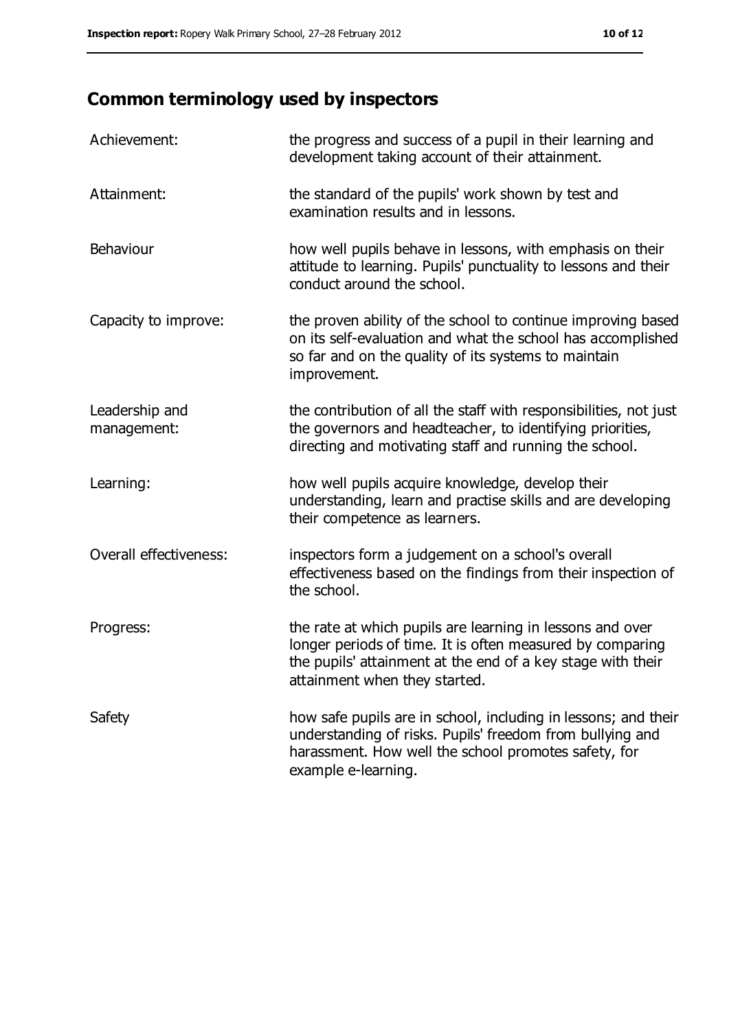# **Common terminology used by inspectors**

| Achievement:                  | the progress and success of a pupil in their learning and<br>development taking account of their attainment.                                                                                                           |
|-------------------------------|------------------------------------------------------------------------------------------------------------------------------------------------------------------------------------------------------------------------|
| Attainment:                   | the standard of the pupils' work shown by test and<br>examination results and in lessons.                                                                                                                              |
| Behaviour                     | how well pupils behave in lessons, with emphasis on their<br>attitude to learning. Pupils' punctuality to lessons and their<br>conduct around the school.                                                              |
| Capacity to improve:          | the proven ability of the school to continue improving based<br>on its self-evaluation and what the school has accomplished<br>so far and on the quality of its systems to maintain<br>improvement.                    |
| Leadership and<br>management: | the contribution of all the staff with responsibilities, not just<br>the governors and headteacher, to identifying priorities,<br>directing and motivating staff and running the school.                               |
| Learning:                     | how well pupils acquire knowledge, develop their<br>understanding, learn and practise skills and are developing<br>their competence as learners.                                                                       |
| Overall effectiveness:        | inspectors form a judgement on a school's overall<br>effectiveness based on the findings from their inspection of<br>the school.                                                                                       |
| Progress:                     | the rate at which pupils are learning in lessons and over<br>longer periods of time. It is often measured by comparing<br>the pupils' attainment at the end of a key stage with their<br>attainment when they started. |
| Safety                        | how safe pupils are in school, including in lessons; and their<br>understanding of risks. Pupils' freedom from bullying and<br>harassment. How well the school promotes safety, for<br>example e-learning.             |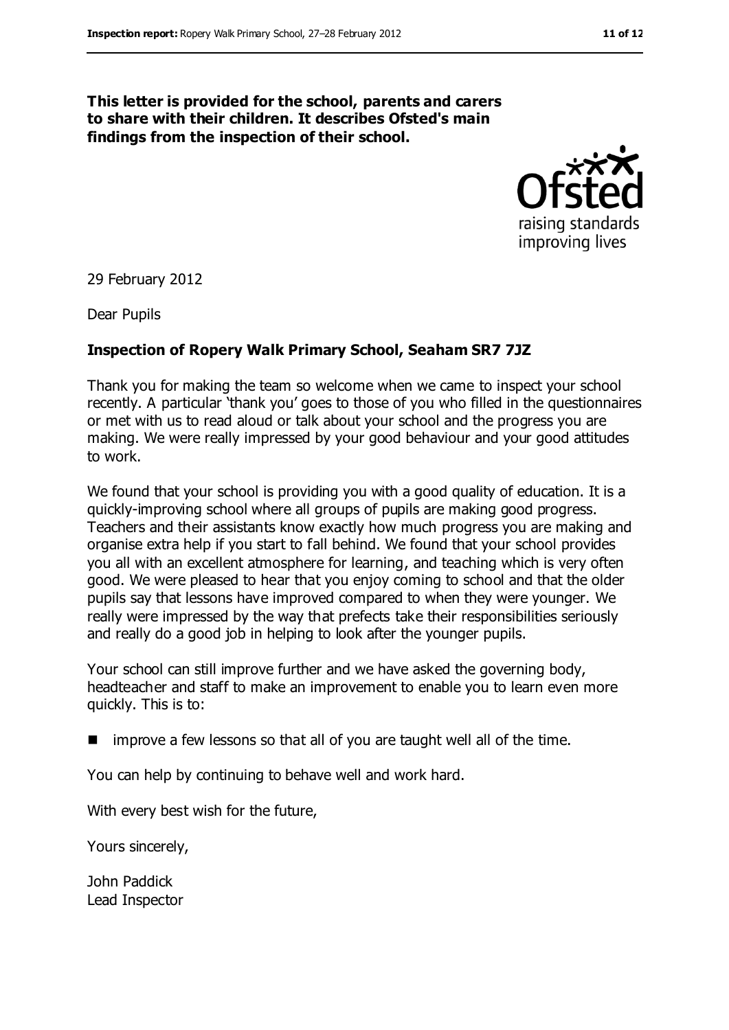#### **This letter is provided for the school, parents and carers to share with their children. It describes Ofsted's main findings from the inspection of their school.**



29 February 2012

Dear Pupils

#### **Inspection of Ropery Walk Primary School, Seaham SR7 7JZ**

Thank you for making the team so welcome when we came to inspect your school recently. A particular 'thank you' goes to those of you who filled in the questionnaires or met with us to read aloud or talk about your school and the progress you are making. We were really impressed by your good behaviour and your good attitudes to work.

We found that your school is providing you with a good quality of education. It is a quickly-improving school where all groups of pupils are making good progress. Teachers and their assistants know exactly how much progress you are making and organise extra help if you start to fall behind. We found that your school provides you all with an excellent atmosphere for learning, and teaching which is very often good. We were pleased to hear that you enjoy coming to school and that the older pupils say that lessons have improved compared to when they were younger. We really were impressed by the way that prefects take their responsibilities seriously and really do a good job in helping to look after the younger pupils.

Your school can still improve further and we have asked the governing body, headteacher and staff to make an improvement to enable you to learn even more quickly. This is to:

 $\blacksquare$  improve a few lessons so that all of you are taught well all of the time.

You can help by continuing to behave well and work hard.

With every best wish for the future,

Yours sincerely,

John Paddick Lead Inspector